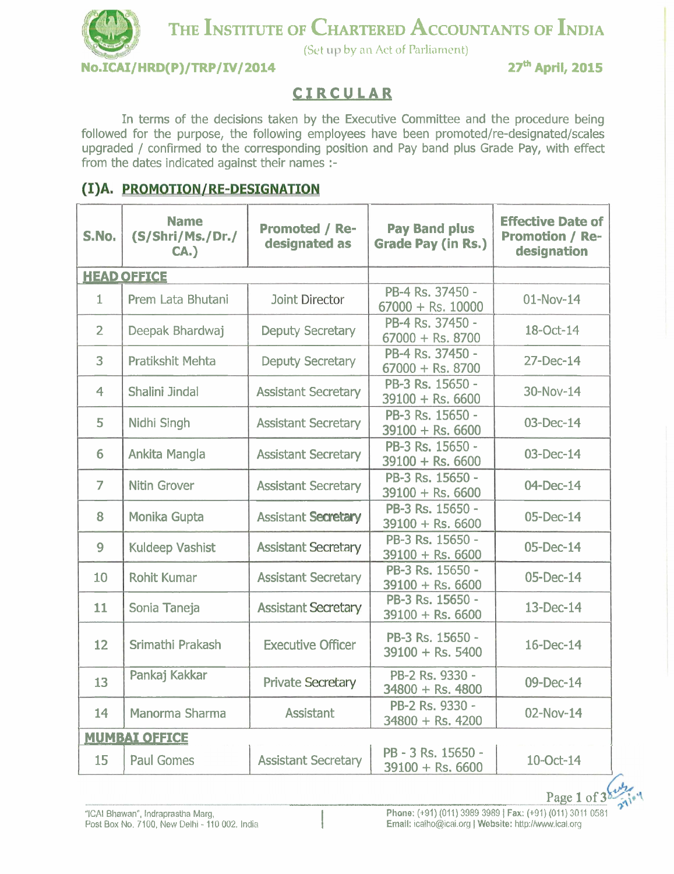## THE **INSTITUTE OF CHARTERED ACCOUNTANTS OF INDIA**

(Set up by an Act of Parliament)

**No.ICAI/HRD(P)/TRP/IV/2014** 27<sup>th</sup> April, 2015

## **CIRCULAR**

In terms of the decisions taken by the Executive Committee and the procedure being followed for the purpose, the following employees have been promoted/re-designated/scales upgraded / confirmed to the corresponding position and Pay band plus Grade Pay, with effect from the dates indicated against their names :-

## (I)A. PROMOTION/RE-DESIGNATION

| S.No.          | <b>Name</b><br>(S/Shri/Ms./Dr./<br>CA. | <b>Promoted / Re-</b><br>designated as | <b>Pay Band plus</b><br><b>Grade Pay (in Rs.)</b> | <b>Effective Date of</b><br><b>Promotion / Re-</b><br>designation |  |  |  |
|----------------|----------------------------------------|----------------------------------------|---------------------------------------------------|-------------------------------------------------------------------|--|--|--|
|                | <b>HEAD OFFICE</b>                     |                                        |                                                   |                                                                   |  |  |  |
| $\mathbf{1}$   | Prem Lata Bhutani                      | Joint Director                         | PB-4 Rs. 37450 -<br>$67000 + \text{Rs.}10000$     | $01-Nov-14$                                                       |  |  |  |
| $\overline{2}$ | Deepak Bhardwaj                        | <b>Deputy Secretary</b>                | PB-4 Rs. 37450 -<br>$67000 + \text{Rs. } 8700$    | 18-Oct-14                                                         |  |  |  |
| 3              | Pratikshit Mehta                       | <b>Deputy Secretary</b>                | PB-4 Rs. 37450 -<br>$67000 + Rs. 8700$            | 27-Dec-14                                                         |  |  |  |
| $\overline{4}$ | Shalini Jindal                         | <b>Assistant Secretary</b>             | PB-3 Rs. 15650 -<br>$39100 + Rs. 6600$            | 30-Nov-14                                                         |  |  |  |
| 5              | Nidhi Singh                            | <b>Assistant Secretary</b>             | PB-3 Rs. 15650 -<br>$39100 +$ Rs. 6600            | 03-Dec-14                                                         |  |  |  |
| 6              | Ankita Mangla                          | <b>Assistant Secretary</b>             | PB-3 Rs. 15650 -<br>$39100 + Rs. 6600$            | 03-Dec-14                                                         |  |  |  |
| $\overline{7}$ | <b>Nitin Grover</b>                    | <b>Assistant Secretary</b>             | PB-3 Rs. 15650 -<br>$39100 +$ Rs. 6600            | 04-Dec-14                                                         |  |  |  |
| 8              | Monika Gupta                           | <b>Assistant Secretary</b>             | PB-3 Rs. 15650 -<br>$39100 + Rs. 6600$            | 05-Dec-14                                                         |  |  |  |
| 9              | <b>Kuldeep Vashist</b>                 | <b>Assistant Secretary</b>             | PB-3 Rs. 15650 -<br>$39100 + Rs. 6600$            | 05-Dec-14                                                         |  |  |  |
| 10             | <b>Rohit Kumar</b>                     | <b>Assistant Secretary</b>             | PB-3 Rs. 15650 -<br>$39100 + Rs. 6600$            | 05-Dec-14                                                         |  |  |  |
| 11             | Sonia Taneja                           | <b>Assistant Secretary</b>             | PB-3 Rs. 15650 -<br>$39100 + Rs. 6600$            | 13-Dec-14                                                         |  |  |  |
| 12             | Srimathi Prakash                       | <b>Executive Officer</b>               | PB-3 Rs. 15650 -<br>$39100 +$ Rs. 5400            | 16-Dec-14                                                         |  |  |  |
| 13             | Pankaj Kakkar                          | <b>Private Secretary</b>               | PB-2 Rs. 9330 -<br>$34800 +$ Rs. 4800             | 09-Dec-14                                                         |  |  |  |
| 14             | Manorma Sharma                         | <b>Assistant</b>                       | PB-2 Rs. 9330 -<br>$34800 +$ Rs. 4200             | 02-Nov-14                                                         |  |  |  |
|                | <b>MUMBAI OFFICE</b>                   |                                        |                                                   |                                                                   |  |  |  |
| 15             | <b>Paul Gomes</b>                      | <b>Assistant Secretary</b>             | PB - 3 Rs. 15650 -<br>$39100 + Rs. 6600$          | 10-Oct-14                                                         |  |  |  |

Page 1 of 3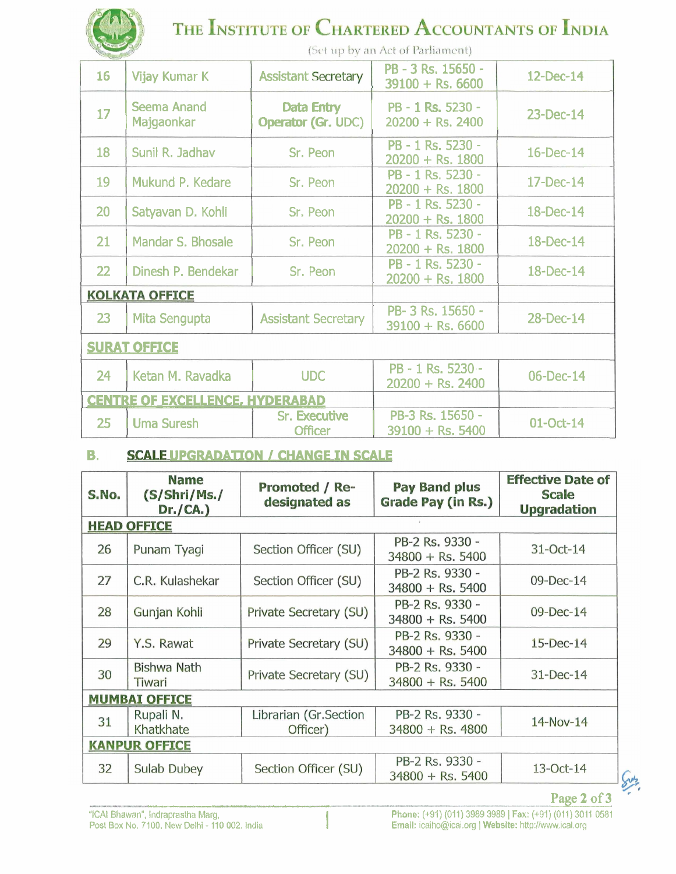| THE INSTITUTE OF CHARTERED ACCOUNTANTS OF INDIA |                                        |                                        |                                          |           |  |  |  |
|-------------------------------------------------|----------------------------------------|----------------------------------------|------------------------------------------|-----------|--|--|--|
|                                                 | (Set up by an Act of Parliament)       |                                        |                                          |           |  |  |  |
| 16                                              | Vijay Kumar K                          | <b>Assistant Secretary</b>             | PB - 3 Rs. 15650 -<br>$39100 +$ Rs. 6600 | 12-Dec-14 |  |  |  |
| 17                                              | <b>Seema Anand</b><br>Majgaonkar       | Data Entry<br>Operator (Gr. UDC)       | PB - 1 Rs. 5230 -<br>$20200 + Rs. 2400$  | 23-Dec-14 |  |  |  |
| 18                                              | Sunil R. Jadhav                        | Sr. Peon                               | PB - 1 Rs. 5230 -<br>$20200 + Rs. 1800$  | 16-Dec-14 |  |  |  |
| 19                                              | Mukund P. Kedare                       | Sr. Peon                               | PB - 1 Rs. 5230 -<br>$20200 + Rs. 1800$  | 17-Dec-14 |  |  |  |
| 20                                              | Satyavan D. Kohli                      | Sr. Peon                               | PB - 1 Rs. 5230 -<br>$20200 + Rs. 1800$  | 18-Dec-14 |  |  |  |
| 21                                              | Mandar S. Bhosale                      | Sr. Peon                               | PB - 1 Rs. 5230 -<br>$20200 + Rs. 1800$  | 18-Dec-14 |  |  |  |
| 22                                              | Dinesh P. Bendekar                     | Sr. Peon                               | PB - 1 Rs. 5230 -<br>$20200 + Rs. 1800$  | 18-Dec-14 |  |  |  |
|                                                 | <b>KOLKATA OFFICE</b>                  |                                        |                                          |           |  |  |  |
| 23                                              | Mita Sengupta                          | <b>Assistant Secretary</b>             | PB-3 Rs. 15650 -<br>$39100 + Rs. 6600$   | 28-Dec-14 |  |  |  |
| <b>SURAT OFFICE</b>                             |                                        |                                        |                                          |           |  |  |  |
| 24                                              | Ketan M. Ravadka                       | <b>UDC</b>                             | PB - 1 Rs. 5230 -<br>$20200 + Rs. 2400$  | 06-Dec-14 |  |  |  |
|                                                 | <b>CENTRE OF EXCELLENCE, HYDERABAD</b> |                                        |                                          |           |  |  |  |
| 25                                              | <b>Uma Suresh</b>                      | <b>Sr. Executive</b><br><b>Officer</b> | PB-3 Rs. 15650 -<br>$39100 + Rs. 5400$   | 01-Oct-14 |  |  |  |

## **6. SCALE UPGRADATION / CHANGE IN SCALE**

**PARK** 

| S.No.                | <b>Name</b><br>(S/Shri/Ms./<br>Dr./CA.) | <b>Promoted / Re-</b><br>designated as | <b>Pay Band plus</b><br><b>Grade Pay (in Rs.)</b> | <b>Effective Date of</b><br><b>Scale</b><br><b>Upgradation</b> |  |  |  |
|----------------------|-----------------------------------------|----------------------------------------|---------------------------------------------------|----------------------------------------------------------------|--|--|--|
| <b>HEAD OFFICE</b>   |                                         |                                        |                                                   |                                                                |  |  |  |
| 26                   | Punam Tyagi                             | Section Officer (SU)                   | PB-2 Rs. 9330 -<br>$34800 +$ Rs. 5400             | $31$ -Oct-14                                                   |  |  |  |
| 27                   | C.R. Kulashekar                         | Section Officer (SU)                   | PB-2 Rs. 9330 -<br>$34800 +$ Rs. 5400             | 09-Dec-14                                                      |  |  |  |
| 28                   | Gunjan Kohli                            | Private Secretary (SU)                 | PB-2 Rs. 9330 -<br>$34800 +$ Rs. 5400             | $09$ -Dec-14                                                   |  |  |  |
| 29                   | Y.S. Rawat                              | Private Secretary (SU)                 | PB-2 Rs. 9330 -<br>$34800 +$ Rs. 5400             | $15$ -Dec-14                                                   |  |  |  |
| 30                   | <b>Bishwa Nath</b><br>Tiwari            | Private Secretary (SU)                 | PB-2 Rs. 9330 -<br>$34800 +$ Rs. 5400             | $31$ -Dec-14                                                   |  |  |  |
| <b>MUMBAI OFFICE</b> |                                         |                                        |                                                   |                                                                |  |  |  |
| 31                   | Rupali N.<br>Khatkhate                  | Librarian (Gr.Section<br>Officer)      | PB-2 Rs. 9330 -<br>$34800 +$ Rs. 4800             | 14-Nov-14                                                      |  |  |  |
|                      | <b>KANPUR OFFICE</b>                    |                                        |                                                   |                                                                |  |  |  |
| 32                   | Sulab Dubey                             | Section Officer (SU)                   | PB-2 Rs. 9330 -<br>$34800 +$ Rs. 5400             | $13$ -Oct-14                                                   |  |  |  |